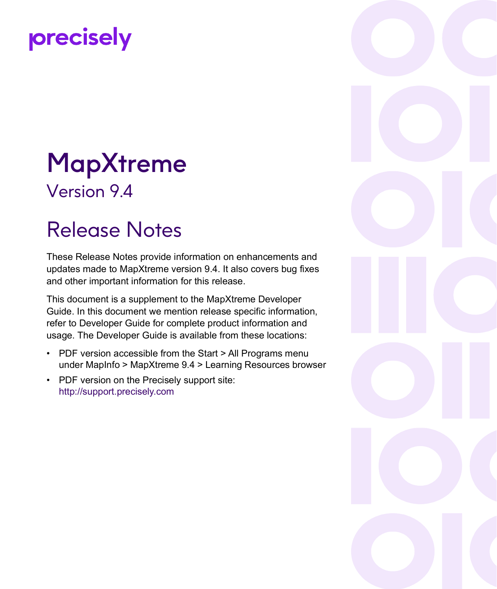# precisely

# MapXtreme Version 9.4

# Release Notes

These Release Notes provide information on enhancements and updates made to MapXtreme version 9.4. It also covers bug fixes and other important information for this release.

This document is a supplement to the MapXtreme Developer Guide. In this document we mention release specific information, refer to Developer Guide for complete product information and usage. The Developer Guide is available from these locations:

- PDF version accessible from the Start > All Programs menu under MapInfo > MapXtreme 9.4 > Learning Resources browser
- • [PDF version on the Precisely support site:](http://support.precisely.com) http://support.precisely.com

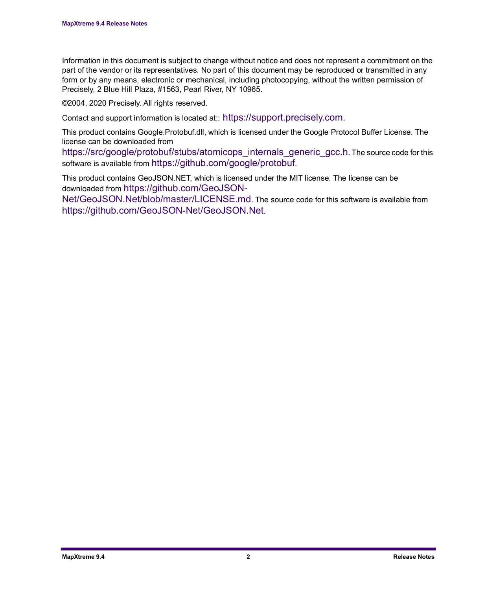Information in this document is subject to change without notice and does not represent a commitment on the part of the vendor or its representatives. No part of this document may be reproduced or transmitted in any form or by any means, electronic or mechanical, including photocopying, without the written permission of Precisely, 2 Blue Hill Plaza, #1563, Pearl River, NY 10965.

©2004, 2020 Precisely. All rights reserved.

Contact and support information is located at:[: https://support.precisely.com.](https://support.precisely.com)

This product contains Google.Protobuf.dll, which is licensed under the Google Protocol Buffer License. The license can be downloaded from

[https://src/google/protobuf/stubs/atomicops\\_internals\\_generic\\_gcc.h.](https://src/google/protobuf/stubs/atomicops_internals_generic_gcc.h) The source code for this software is available from [https://github.com/google/protobuf.](https://github.com/google/protobuf)

This product contains GeoJSON.NET, which is licensed under the MIT license. The license can be downloaded from [https://github.com/GeoJSON-](https://src/google/protobuf/stubs/atomicops_internals_generic_gcc.h)

[Net/GeoJSON.Net/blob/master/LICENSE.md](https://src/google/protobuf/stubs/atomicops_internals_generic_gcc.h). The source code for this software is available from https://github.com/GeoJSON-Net/GeoJSON.Net.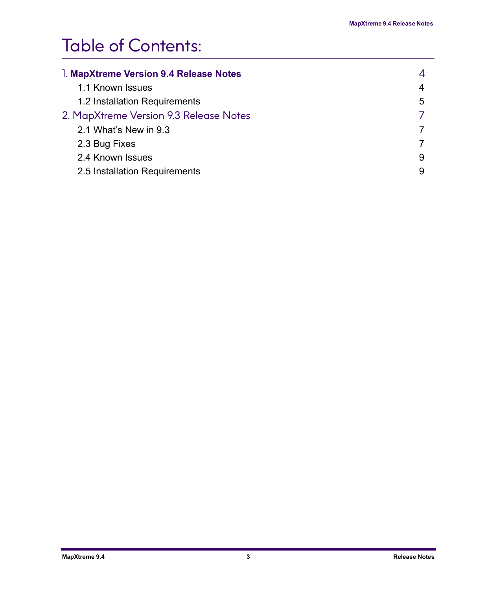### Table of Contents:

| 1. MapXtreme Version 9.4 Release Notes |   |
|----------------------------------------|---|
| 1.1 Known Issues                       | 4 |
| 1.2 Installation Requirements          | 5 |
| 2. MapXtreme Version 9.3 Release Notes |   |
| 2.1 What's New in 9.3                  |   |
| 2.3 Bug Fixes                          |   |
| 2.4 Known Issues                       | 9 |
| 2.5 Installation Requirements          | 9 |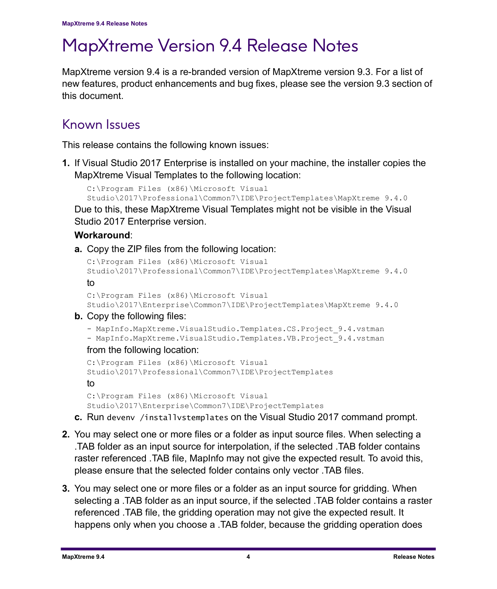## <span id="page-3-0"></span>MapXtreme Version 9.4 Release Notes

MapXtreme version 9.4 is a re-branded version of MapXtreme version 9.3. For a list of new features, product enhancements and bug fixes, please see the version 9.3 section of this document.

#### <span id="page-3-1"></span>Known Issues

This release contains the following known issues:

**1.** If Visual Studio 2017 Enterprise is installed on your machine, the installer copies the MapXtreme Visual Templates to the following location:

```
C:\Program Files (x86)\Microsoft Visual
```
Studio\2017\Professional\Common7\IDE\ProjectTemplates\MapXtreme 9.4.0 Due to this, these MapXtreme Visual Templates might not be visible in the Visual Studio 2017 Enterprise version.

#### **Workaround**:

**a.** Copy the ZIP files from the following location:

```
C:\Program Files (x86)\Microsoft Visual 
Studio\2017\Professional\Common7\IDE\ProjectTemplates\MapXtreme 9.4.0
to
```

```
C:\Program Files (x86)\Microsoft Visual 
Studio\2017\Enterprise\Common7\IDE\ProjectTemplates\MapXtreme 9.4.0
```
- **b.** Copy the following files:
	- MapInfo.MapXtreme.VisualStudio.Templates.CS.Project 9.4.vstman
	- MapInfo.MapXtreme.VisualStudio.Templates.VB.Project\_9.4.vstman

#### from the following location:

```
C:\Program Files (x86)\Microsoft Visual 
Studio\2017\Professional\Common7\IDE\ProjectTemplates
to
C:\Program Files (x86)\Microsoft Visual 
Studio\2017\Enterprise\Common7\IDE\ProjectTemplates
```
- **c.** Run devenv /installvstemplates on the Visual Studio 2017 command prompt.
- **2.** You may select one or more files or a folder as input source files. When selecting a .TAB folder as an input source for interpolation, if the selected .TAB folder contains raster referenced .TAB file, MapInfo may not give the expected result. To avoid this, please ensure that the selected folder contains only vector .TAB files.
- **3.** You may select one or more files or a folder as an input source for gridding. When selecting a .TAB folder as an input source, if the selected .TAB folder contains a raster referenced .TAB file, the gridding operation may not give the expected result. It happens only when you choose a .TAB folder, because the gridding operation does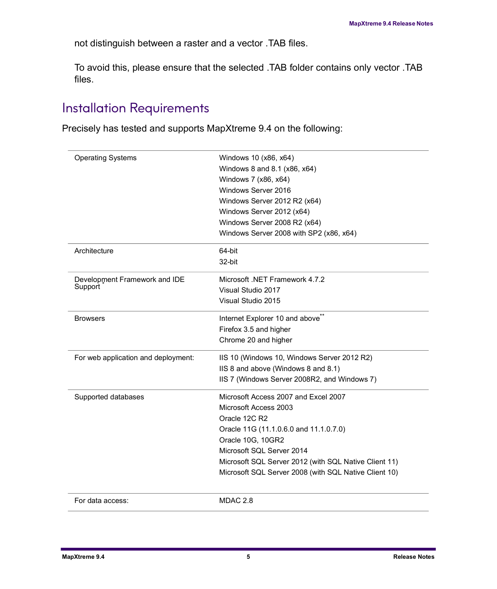not distinguish between a raster and a vector .TAB files.

To avoid this, please ensure that the selected .TAB folder contains only vector .TAB files.

#### <span id="page-4-0"></span>Installation Requirements

Precisely has tested and supports MapXtreme 9.4 on the following:

| <b>Operating Systems</b>            | Windows 10 (x86, x64)                                 |
|-------------------------------------|-------------------------------------------------------|
|                                     | Windows 8 and 8.1 (x86, x64)                          |
|                                     | Windows 7 (x86, x64)                                  |
|                                     | Windows Server 2016                                   |
|                                     | Windows Server 2012 R2 (x64)                          |
|                                     | Windows Server 2012 (x64)                             |
|                                     | Windows Server 2008 R2 (x64)                          |
|                                     | Windows Server 2008 with SP2 (x86, x64)               |
| Architecture                        | 64-bit                                                |
|                                     | 32-bit                                                |
| Development Framework and IDE       | Microsoft .NET Framework 4.7.2                        |
| Support                             | Visual Studio 2017                                    |
|                                     | Visual Studio 2015                                    |
| <b>Browsers</b>                     | Internet Explorer 10 and above <sup>®</sup>           |
|                                     | Firefox 3.5 and higher                                |
|                                     | Chrome 20 and higher                                  |
| For web application and deployment: | IIS 10 (Windows 10, Windows Server 2012 R2)           |
|                                     | IIS 8 and above (Windows 8 and 8.1)                   |
|                                     | IIS 7 (Windows Server 2008R2, and Windows 7)          |
| Supported databases                 | Microsoft Access 2007 and Excel 2007                  |
|                                     | Microsoft Access 2003                                 |
|                                     | Oracle 12C R2                                         |
|                                     | Oracle 11G (11.1.0.6.0 and 11.1.0.7.0)                |
|                                     | Oracle 10G, 10GR2                                     |
|                                     | Microsoft SQL Server 2014                             |
|                                     | Microsoft SQL Server 2012 (with SQL Native Client 11) |
|                                     | Microsoft SQL Server 2008 (with SQL Native Client 10) |
| For data access:                    | MDAC 2.8                                              |
|                                     |                                                       |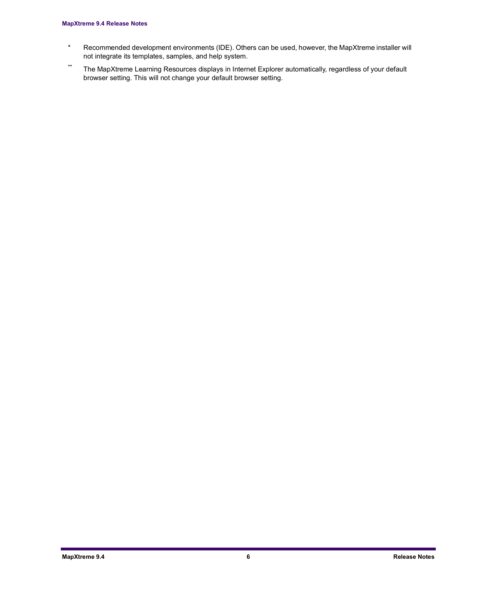#### **MapXtreme 9.4 Release Notes**

- \* Recommended development environments (IDE). Others can be used, however, the MapXtreme installer will not integrate its templates, samples, and help system.
- \*\* The MapXtreme Learning Resources displays in Internet Explorer automatically, regardless of your default browser setting. This will not change your default browser setting.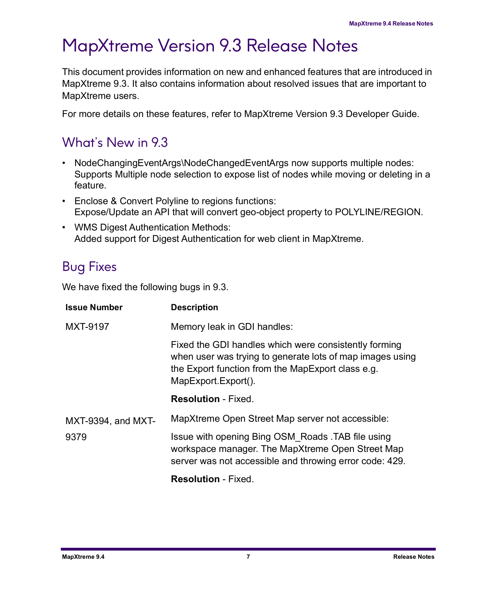### <span id="page-6-0"></span>MapXtreme Version 9.3 Release Notes

This document provides information on new and enhanced features that are introduced in MapXtreme 9.3. It also contains information about resolved issues that are important to MapXtreme users.

For more details on these features, refer to MapXtreme Version 9.3 Developer Guide.

#### <span id="page-6-1"></span>What's New in 9.3

- NodeChangingEventArgs\NodeChangedEventArgs now supports multiple nodes: Supports Multiple node selection to expose list of nodes while moving or deleting in a feature.
- Enclose & Convert Polyline to regions functions: Expose/Update an API that will convert geo-object property to POLYLINE/REGION.
- WMS Digest Authentication Methods: Added support for Digest Authentication for web client in MapXtreme.

### <span id="page-6-2"></span>Bug Fixes

We have fixed the following bugs in 9.3.

| <b>Issue Number</b> | <b>Description</b>                                                                                                                                                                             |
|---------------------|------------------------------------------------------------------------------------------------------------------------------------------------------------------------------------------------|
| <b>MXT-9197</b>     | Memory leak in GDI handles:                                                                                                                                                                    |
|                     | Fixed the GDI handles which were consistently forming<br>when user was trying to generate lots of map images using<br>the Export function from the MapExport class e.g.<br>MapExport.Export(). |
|                     | <b>Resolution - Fixed.</b>                                                                                                                                                                     |
| MXT-9394, and MXT-  | MapXtreme Open Street Map server not accessible:                                                                                                                                               |
| 9379                | Issue with opening Bing OSM Roads .TAB file using<br>workspace manager. The MapXtreme Open Street Map<br>server was not accessible and throwing error code: 429.                               |
|                     | <b>Resolution - Fixed.</b>                                                                                                                                                                     |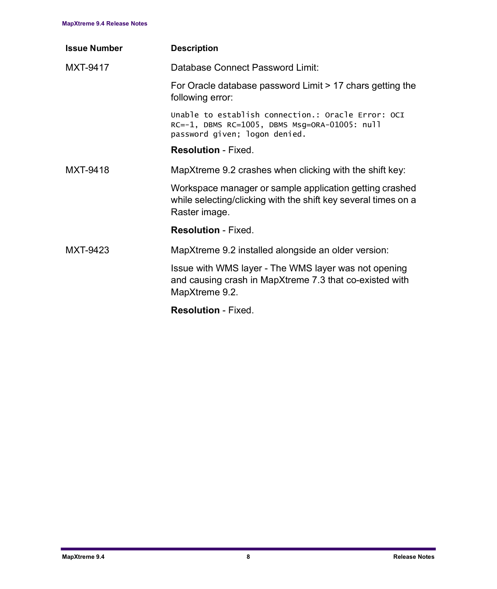| <b>Issue Number</b> | <b>Description</b>                                                                                                                         |
|---------------------|--------------------------------------------------------------------------------------------------------------------------------------------|
| MXT-9417            | Database Connect Password Limit:                                                                                                           |
|                     | For Oracle database password Limit > 17 chars getting the<br>following error:                                                              |
|                     | Unable to establish connection.: Oracle Error: OCI<br>RC=-1, DBMS RC=1005, DBMS Msg=ORA-01005: null<br>password given; logon denied.       |
|                     | <b>Resolution - Fixed.</b>                                                                                                                 |
| MXT-9418            | MapXtreme 9.2 crashes when clicking with the shift key:                                                                                    |
|                     | Workspace manager or sample application getting crashed<br>while selecting/clicking with the shift key several times on a<br>Raster image. |
|                     | <b>Resolution - Fixed.</b>                                                                                                                 |
| MXT-9423            | MapXtreme 9.2 installed alongside an older version:                                                                                        |
|                     | Issue with WMS layer - The WMS layer was not opening<br>and causing crash in MapXtreme 7.3 that co-existed with<br>MapXtreme 9.2.          |
|                     | <b>Resolution - Fixed.</b>                                                                                                                 |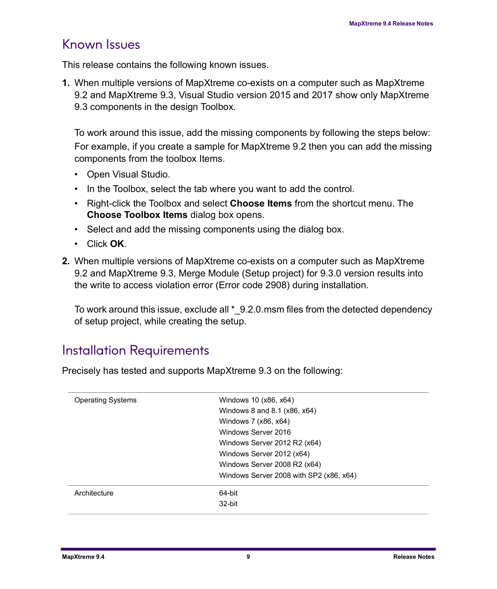#### <span id="page-8-0"></span>Known Issues

This release contains the following known issues.

**1.** When multiple versions of MapXtreme co-exists on a computer such as MapXtreme 9.2 and MapXtreme 9.3, Visual Studio version 2015 and 2017 show only MapXtreme 9.3 components in the design Toolbox.

To work around this issue, add the missing components by following the steps below: For example, if you create a sample for MapXtreme 9.2 then you can add the missing components from the toolbox Items.

- Open Visual Studio.
- In the Toolbox, select the tab where you want to add the control.
- Right-click the Toolbox and select **Choose Items** from the shortcut menu. The **Choose Toolbox Items** dialog box opens.
- Select and add the missing components using the dialog box.
- Click **OK**.
- **2.** When multiple versions of MapXtreme co-exists on a computer such as MapXtreme 9.2 and MapXtreme 9.3, Merge Module (Setup project) for 9.3.0 version results into the write to access violation error (Error code 2908) during installation.

To work around this issue, exclude all \* 9.2.0.msm files from the detected dependency of setup project, while creating the setup.

#### <span id="page-8-1"></span>Installation Requirements

Precisely has tested and supports MapXtreme 9.3 on the following:

| <b>Operating Systems</b> | Windows 10 (x86, x64)                   |
|--------------------------|-----------------------------------------|
|                          | Windows 8 and 8.1 (x86, x64)            |
|                          | Windows 7 (x86, x64)                    |
|                          | Windows Server 2016                     |
|                          | Windows Server 2012 R2 (x64)            |
|                          | Windows Server 2012 (x64)               |
|                          | Windows Server 2008 R2 (x64)            |
|                          | Windows Server 2008 with SP2 (x86, x64) |
| Architecture             | 64-bit                                  |
|                          | 32-bit                                  |
|                          |                                         |